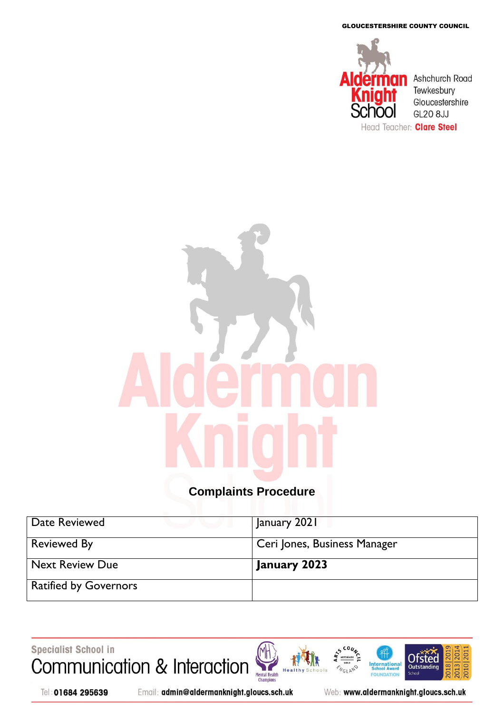GLOUCESTERSHIRE COUNTY COUNCIL



# **Complaints Procedure**

| Date Reviewed                | January 2021                 |
|------------------------------|------------------------------|
| <b>Reviewed By</b>           | Ceri Jones, Business Manager |
| <b>Next Review Due</b>       | January 2023                 |
| <b>Ratified by Governors</b> |                              |

Specialist School in Communication & Interaction

Tel: 01684 295639

![](_page_0_Picture_6.jpeg)

Web: www.aldermanknight.gloucs.sch.uk

**International**<br>School Award

FOU **IDATION** 

**NGLAND** 

2018 20

2010 20 2013|20

**Ofsted** 

Outstand

**Schoo**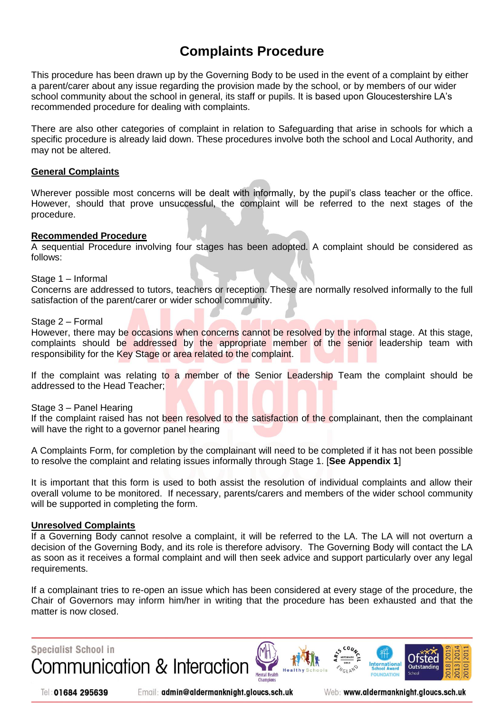# **Complaints Procedure**

This procedure has been drawn up by the Governing Body to be used in the event of a complaint by either a parent/carer about any issue regarding the provision made by the school, or by members of our wider school community about the school in general, its staff or pupils. It is based upon Gloucestershire LA's recommended procedure for dealing with complaints.

There are also other categories of complaint in relation to Safeguarding that arise in schools for which a specific procedure is already laid down. These procedures involve both the school and Local Authority, and may not be altered.

### **General Complaints**

Wherever possible most concerns will be dealt with informally, by the pupil's class teacher or the office. However, should that prove unsuccessful, the complaint will be referred to the next stages of the procedure.

#### **Recommended Procedure**

A sequential Procedure involving four stages has been adopted. A complaint should be considered as follows:

#### Stage 1 – Informal

Concerns are addressed to tutors, teachers or reception. These are normally resolved informally to the full satisfaction of the parent/carer or wider school community.

#### Stage 2 – Formal

However, there may be occasions when concerns cannot be resolved by the informal stage. At this stage, complaints should be addressed by the appropriate member of the senior leadership team with responsibility for the Key Stage or area related to the complaint.

If the complaint was relating to a member of the Senior Leadership Team the complaint should be addressed to the Head Teacher;

#### Stage 3 – Panel Hearing

If the complaint raised has not been resolved to the satisfaction of the complainant, then the complainant will have the right to a governor panel hearing

A Complaints Form, for completion by the complainant will need to be completed if it has not been possible to resolve the complaint and relating issues informally through Stage 1. [**See Appendix 1**]

It is important that this form is used to both assist the resolution of individual complaints and allow their overall volume to be monitored. If necessary, parents/carers and members of the wider school community will be supported in completing the form.

#### **Unresolved Complaints**

If a Governing Body cannot resolve a complaint, it will be referred to the LA. The LA will not overturn a decision of the Governing Body, and its role is therefore advisory. The Governing Body will contact the LA as soon as it receives a formal complaint and will then seek advice and support particularly over any legal requirements.

If a complainant tries to re-open an issue which has been considered at every stage of the procedure, the Chair of Governors may inform him/her in writing that the procedure has been exhausted and that the matter is now closed.

![](_page_1_Picture_19.jpeg)

Tel: 01684 295639

Email: admin@aldermanknight.gloucs.sch.uk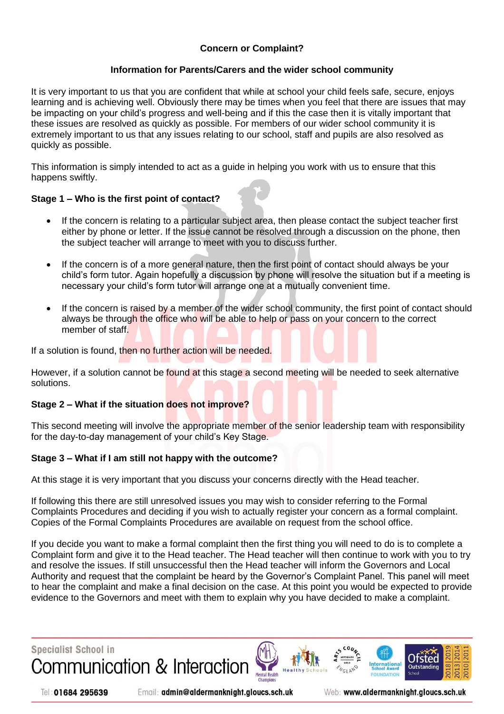# **Concern or Complaint?**

# **Information for Parents/Carers and the wider school community**

It is very important to us that you are confident that while at school your child feels safe, secure, enjoys learning and is achieving well. Obviously there may be times when you feel that there are issues that may be impacting on your child's progress and well-being and if this the case then it is vitally important that these issues are resolved as quickly as possible. For members of our wider school community it is extremely important to us that any issues relating to our school, staff and pupils are also resolved as quickly as possible.

This information is simply intended to act as a guide in helping you work with us to ensure that this happens swiftly.

# **Stage 1 – Who is the first point of contact?**

- If the concern is relating to a particular subject area, then please contact the subject teacher first either by phone or letter. If the issue cannot be resolved through a discussion on the phone, then the subject teacher will arrange to meet with you to discuss further.
- If the concern is of a more general nature, then the first point of contact should always be your child's form tutor. Again hopefully a discussion by phone will resolve the situation but if a meeting is necessary your child's form tutor will arrange one at a mutually convenient time.
- If the concern is raised by a member of the wider school community, the first point of contact should always be through the office who will be able to help or pass on your concern to the correct member of staff.

If a solution is found, then no further action will be needed.

However, if a solution cannot be found at this stage a second meeting will be needed to seek alternative solutions.

## **Stage 2 – What if the situation does not improve?**

This second meeting will involve the appropriate member of the senior leadership team with responsibility for the day-to-day management of your child's Key Stage.

## **Stage 3 – What if I am still not happy with the outcome?**

At this stage it is very important that you discuss your concerns directly with the Head teacher.

If following this there are still unresolved issues you may wish to consider referring to the Formal Complaints Procedures and deciding if you wish to actually register your concern as a formal complaint. Copies of the Formal Complaints Procedures are available on request from the school office.

If you decide you want to make a formal complaint then the first thing you will need to do is to complete a Complaint form and give it to the Head teacher. The Head teacher will then continue to work with you to try and resolve the issues. If still unsuccessful then the Head teacher will inform the Governors and Local Authority and request that the complaint be heard by the Governor's Complaint Panel. This panel will meet to hear the complaint and make a final decision on the case. At this point you would be expected to provide evidence to the Governors and meet with them to explain why you have decided to make a complaint.

![](_page_2_Picture_16.jpeg)

Tel: 01684 295639

Email: admin@aldermanknight.gloucs.sch.uk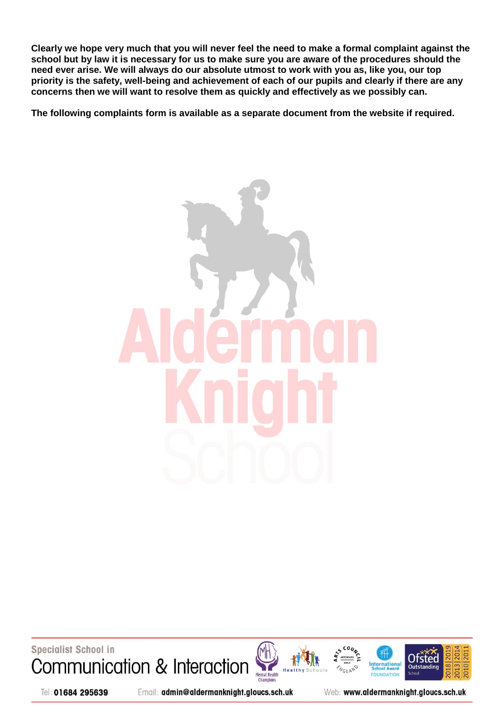**Clearly we hope very much that you will never feel the need to make a formal complaint against the school but by law it is necessary for us to make sure you are aware of the procedures should the need ever arise. We will always do our absolute utmost to work with you as, like you, our top priority is the safety, well-being and achievement of each of our pupils and clearly if there are any concerns then we will want to resolve them as quickly and effectively as we possibly can.**

**The following complaints form is available as a separate document from the website if required.**

![](_page_3_Picture_2.jpeg)

**Specialist School in** Communication & Interaction

![](_page_3_Picture_4.jpeg)

![](_page_3_Figure_5.jpeg)

![](_page_3_Picture_6.jpeg)

Tel: 01684 295639

Email: admin@aldermanknight.gloucs.sch.uk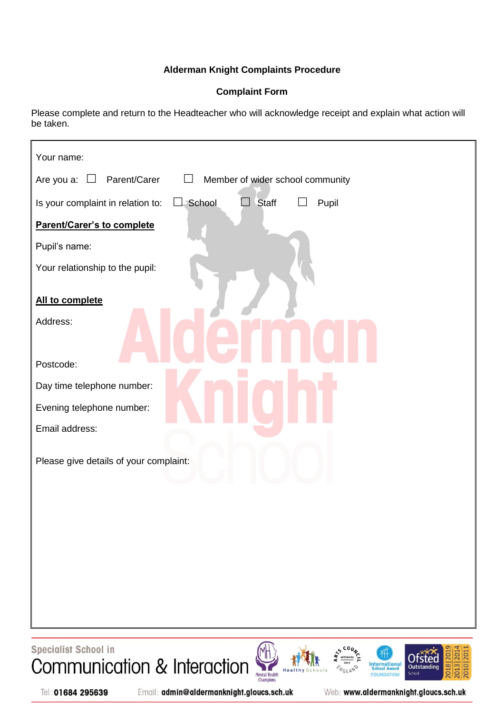# **Alderman Knight Complaints Procedure**

# **Complaint Form**

Please complete and return to the Headteacher who will acknowledge receipt and explain what action will be taken.

| Your name:                                                                         |
|------------------------------------------------------------------------------------|
| Parent/Carer<br>Are you a: $\square$<br>Member of wider school community<br>$\Box$ |
| $\Box$ School<br>$\Box$ Staff<br>Is your complaint in relation to:<br>Pupil        |
| Parent/Carer's to complete                                                         |
| Pupil's name:                                                                      |
| Your relationship to the pupil:                                                    |
| All to complete                                                                    |
| Address:                                                                           |
| Postcode:                                                                          |
| Day time telephone number:                                                         |
| Evening telephone number:                                                          |
| Email address:                                                                     |
| Please give details of your complaint:                                             |
|                                                                                    |
|                                                                                    |
|                                                                                    |
|                                                                                    |
|                                                                                    |
|                                                                                    |
|                                                                                    |

Specialist School in Communication & Interaction

![](_page_4_Picture_5.jpeg)

![](_page_4_Picture_6.jpeg)

![](_page_4_Picture_7.jpeg)

Tel: 01684 295639

Email: admin@aldermanknight.gloucs.sch.uk